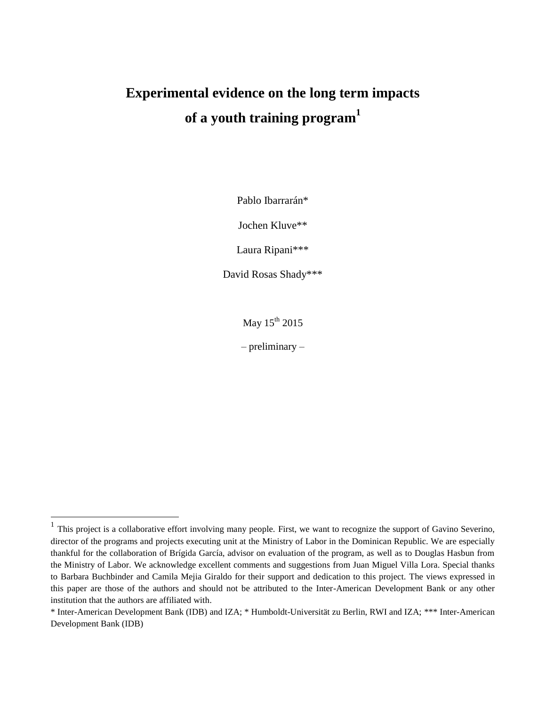# **Experimental evidence on the long term impacts of a youth training program 1**

Pablo Ibarrarán\*

Jochen Kluve\*\*

Laura Ripani\*\*\*

David Rosas Shady\*\*\*

May 15<sup>th</sup> 2015

– preliminary –

 $\overline{a}$ 

<sup>1</sup> This project is a collaborative effort involving many people. First, we want to recognize the support of Gavino Severino, director of the programs and projects executing unit at the Ministry of Labor in the Dominican Republic. We are especially thankful for the collaboration of Brígida García, advisor on evaluation of the program, as well as to Douglas Hasbun from the Ministry of Labor. We acknowledge excellent comments and suggestions from Juan Miguel Villa Lora. Special thanks to Barbara Buchbinder and Camila Mejia Giraldo for their support and dedication to this project. The views expressed in this paper are those of the authors and should not be attributed to the Inter-American Development Bank or any other institution that the authors are affiliated with.

<sup>\*</sup> Inter-American Development Bank (IDB) and IZA; \* Humboldt-Universität zu Berlin, RWI and IZA; \*\*\* Inter-American Development Bank (IDB)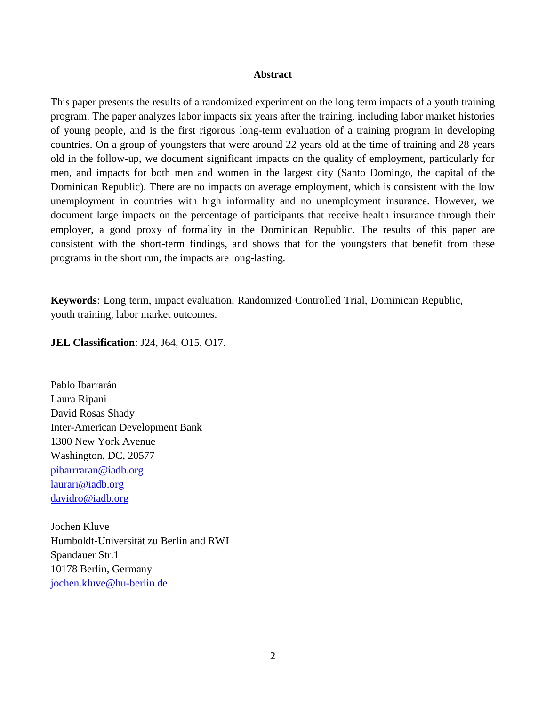## **Abstract**

This paper presents the results of a randomized experiment on the long term impacts of a youth training program. The paper analyzes labor impacts six years after the training, including labor market histories of young people, and is the first rigorous long-term evaluation of a training program in developing countries. On a group of youngsters that were around 22 years old at the time of training and 28 years old in the follow-up, we document significant impacts on the quality of employment, particularly for men, and impacts for both men and women in the largest city (Santo Domingo, the capital of the Dominican Republic). There are no impacts on average employment, which is consistent with the low unemployment in countries with high informality and no unemployment insurance. However, we document large impacts on the percentage of participants that receive health insurance through their employer, a good proxy of formality in the Dominican Republic. The results of this paper are consistent with the short-term findings, and shows that for the youngsters that benefit from these programs in the short run, the impacts are long-lasting.

**Keywords**: Long term, impact evaluation, Randomized Controlled Trial, Dominican Republic, youth training, labor market outcomes.

**JEL Classification**: J24, J64, O15, O17.

Pablo Ibarrarán Laura Ripani David Rosas Shady Inter-American Development Bank 1300 New York Avenue Washington, DC, 20577 [pibarrraran@iadb.org](mailto:pibarrraran@iadb.org) [laurari@iadb.org](mailto:LAURARI@iadb.org) [davidro@iadb.org](mailto:davidro@iadb.org)

Jochen Kluve Humboldt-Universität zu Berlin and RWI Spandauer Str.1 10178 Berlin, Germany [jochen.kluve@hu-berlin.de](mailto:Jochen.kluve@hu-berlin.de)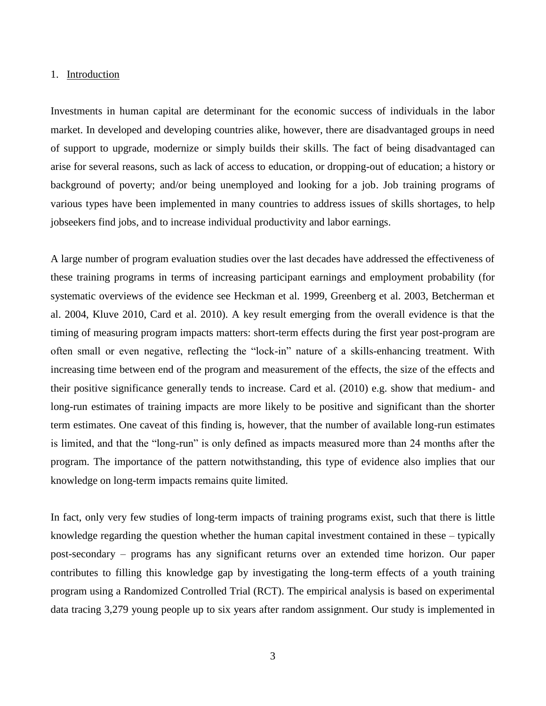## 1. Introduction

Investments in human capital are determinant for the economic success of individuals in the labor market. In developed and developing countries alike, however, there are disadvantaged groups in need of support to upgrade, modernize or simply builds their skills. The fact of being disadvantaged can arise for several reasons, such as lack of access to education, or dropping-out of education; a history or background of poverty; and/or being unemployed and looking for a job. Job training programs of various types have been implemented in many countries to address issues of skills shortages, to help jobseekers find jobs, and to increase individual productivity and labor earnings.

A large number of program evaluation studies over the last decades have addressed the effectiveness of these training programs in terms of increasing participant earnings and employment probability (for systematic overviews of the evidence see Heckman et al. 1999, Greenberg et al. 2003, Betcherman et al. 2004, Kluve 2010, Card et al. 2010). A key result emerging from the overall evidence is that the timing of measuring program impacts matters: short-term effects during the first year post-program are often small or even negative, reflecting the "lock-in" nature of a skills-enhancing treatment. With increasing time between end of the program and measurement of the effects, the size of the effects and their positive significance generally tends to increase. Card et al. (2010) e.g. show that medium- and long-run estimates of training impacts are more likely to be positive and significant than the shorter term estimates. One caveat of this finding is, however, that the number of available long-run estimates is limited, and that the "long-run" is only defined as impacts measured more than 24 months after the program. The importance of the pattern notwithstanding, this type of evidence also implies that our knowledge on long-term impacts remains quite limited.

In fact, only very few studies of long-term impacts of training programs exist, such that there is little knowledge regarding the question whether the human capital investment contained in these – typically post-secondary – programs has any significant returns over an extended time horizon. Our paper contributes to filling this knowledge gap by investigating the long-term effects of a youth training program using a Randomized Controlled Trial (RCT). The empirical analysis is based on experimental data tracing 3,279 young people up to six years after random assignment. Our study is implemented in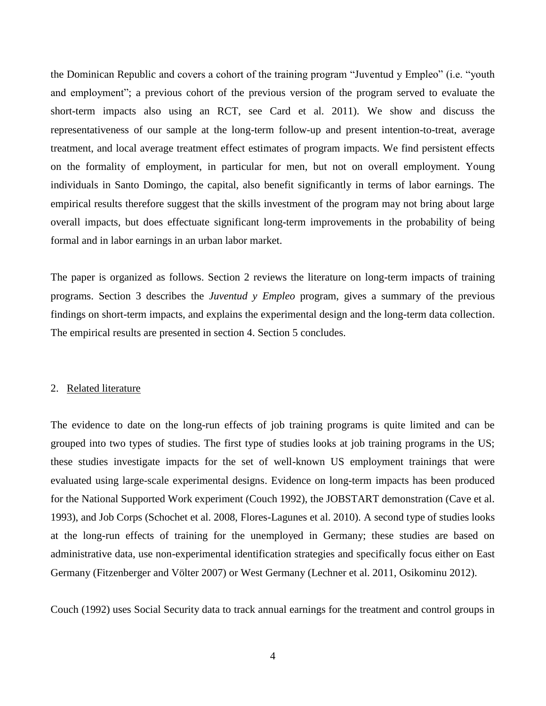the Dominican Republic and covers a cohort of the training program "Juventud y Empleo" (i.e. "youth and employment"; a previous cohort of the previous version of the program served to evaluate the short-term impacts also using an RCT, see Card et al. 2011). We show and discuss the representativeness of our sample at the long-term follow-up and present intention-to-treat, average treatment, and local average treatment effect estimates of program impacts. We find persistent effects on the formality of employment, in particular for men, but not on overall employment. Young individuals in Santo Domingo, the capital, also benefit significantly in terms of labor earnings. The empirical results therefore suggest that the skills investment of the program may not bring about large overall impacts, but does effectuate significant long-term improvements in the probability of being formal and in labor earnings in an urban labor market.

The paper is organized as follows. Section 2 reviews the literature on long-term impacts of training programs. Section 3 describes the *Juventud y Empleo* program, gives a summary of the previous findings on short-term impacts, and explains the experimental design and the long-term data collection. The empirical results are presented in section 4. Section 5 concludes.

# 2. Related literature

The evidence to date on the long-run effects of job training programs is quite limited and can be grouped into two types of studies. The first type of studies looks at job training programs in the US; these studies investigate impacts for the set of well-known US employment trainings that were evaluated using large-scale experimental designs. Evidence on long-term impacts has been produced for the National Supported Work experiment (Couch 1992), the JOBSTART demonstration (Cave et al. 1993), and Job Corps (Schochet et al. 2008, Flores-Lagunes et al. 2010). A second type of studies looks at the long-run effects of training for the unemployed in Germany; these studies are based on administrative data, use non-experimental identification strategies and specifically focus either on East Germany (Fitzenberger and Völter 2007) or West Germany (Lechner et al. 2011, Osikominu 2012).

Couch (1992) uses Social Security data to track annual earnings for the treatment and control groups in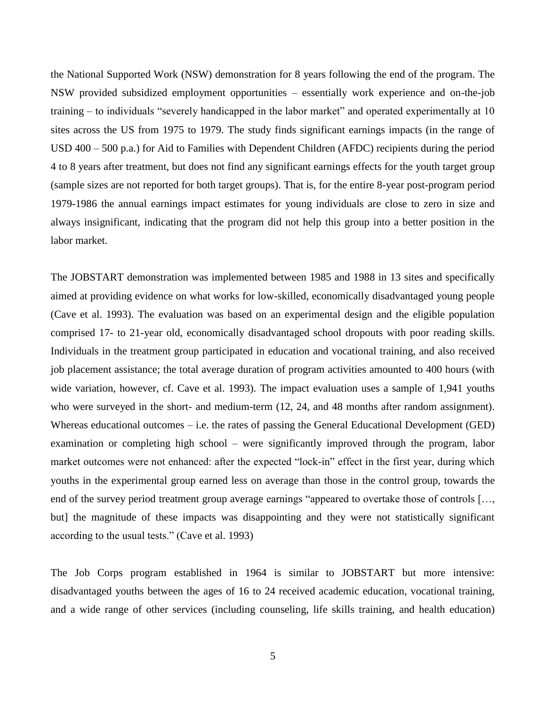the National Supported Work (NSW) demonstration for 8 years following the end of the program. The NSW provided subsidized employment opportunities – essentially work experience and on-the-job training – to individuals "severely handicapped in the labor market" and operated experimentally at 10 sites across the US from 1975 to 1979. The study finds significant earnings impacts (in the range of USD 400 – 500 p.a.) for Aid to Families with Dependent Children (AFDC) recipients during the period 4 to 8 years after treatment, but does not find any significant earnings effects for the youth target group (sample sizes are not reported for both target groups). That is, for the entire 8-year post-program period 1979-1986 the annual earnings impact estimates for young individuals are close to zero in size and always insignificant, indicating that the program did not help this group into a better position in the labor market.

The JOBSTART demonstration was implemented between 1985 and 1988 in 13 sites and specifically aimed at providing evidence on what works for low-skilled, economically disadvantaged young people (Cave et al. 1993). The evaluation was based on an experimental design and the eligible population comprised 17- to 21-year old, economically disadvantaged school dropouts with poor reading skills. Individuals in the treatment group participated in education and vocational training, and also received job placement assistance; the total average duration of program activities amounted to 400 hours (with wide variation, however, cf. Cave et al. 1993). The impact evaluation uses a sample of 1,941 youths who were surveyed in the short- and medium-term (12, 24, and 48 months after random assignment). Whereas educational outcomes – i.e. the rates of passing the General Educational Development (GED) examination or completing high school – were significantly improved through the program, labor market outcomes were not enhanced: after the expected "lock-in" effect in the first year, during which youths in the experimental group earned less on average than those in the control group, towards the end of the survey period treatment group average earnings "appeared to overtake those of controls […, but] the magnitude of these impacts was disappointing and they were not statistically significant according to the usual tests." (Cave et al. 1993)

The Job Corps program established in 1964 is similar to JOBSTART but more intensive: disadvantaged youths between the ages of 16 to 24 received academic education, vocational training, and a wide range of other services (including counseling, life skills training, and health education)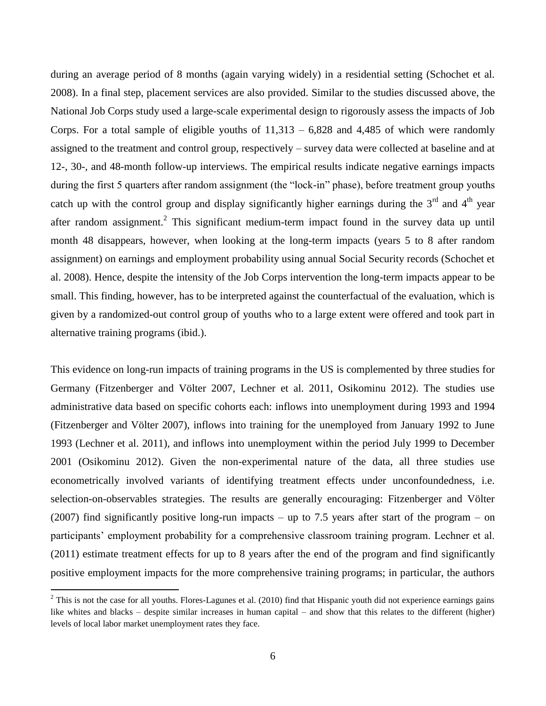during an average period of 8 months (again varying widely) in a residential setting (Schochet et al. 2008). In a final step, placement services are also provided. Similar to the studies discussed above, the National Job Corps study used a large-scale experimental design to rigorously assess the impacts of Job Corps. For a total sample of eligible youths of  $11,313 - 6,828$  and  $4,485$  of which were randomly assigned to the treatment and control group, respectively – survey data were collected at baseline and at 12-, 30-, and 48-month follow-up interviews. The empirical results indicate negative earnings impacts during the first 5 quarters after random assignment (the "lock-in" phase), before treatment group youths catch up with the control group and display significantly higher earnings during the  $3<sup>rd</sup>$  and  $4<sup>th</sup>$  year after random assignment.<sup>2</sup> This significant medium-term impact found in the survey data up until month 48 disappears, however, when looking at the long-term impacts (years 5 to 8 after random assignment) on earnings and employment probability using annual Social Security records (Schochet et al. 2008). Hence, despite the intensity of the Job Corps intervention the long-term impacts appear to be small. This finding, however, has to be interpreted against the counterfactual of the evaluation, which is given by a randomized-out control group of youths who to a large extent were offered and took part in alternative training programs (ibid.).

This evidence on long-run impacts of training programs in the US is complemented by three studies for Germany (Fitzenberger and Völter 2007, Lechner et al. 2011, Osikominu 2012). The studies use administrative data based on specific cohorts each: inflows into unemployment during 1993 and 1994 (Fitzenberger and Völter 2007), inflows into training for the unemployed from January 1992 to June 1993 (Lechner et al. 2011), and inflows into unemployment within the period July 1999 to December 2001 (Osikominu 2012). Given the non-experimental nature of the data, all three studies use econometrically involved variants of identifying treatment effects under unconfoundedness, i.e. selection-on-observables strategies. The results are generally encouraging: Fitzenberger and Völter (2007) find significantly positive long-run impacts – up to 7.5 years after start of the program – on participants' employment probability for a comprehensive classroom training program. Lechner et al. (2011) estimate treatment effects for up to 8 years after the end of the program and find significantly positive employment impacts for the more comprehensive training programs; in particular, the authors

 $\overline{a}$ 

 $2$  This is not the case for all youths. Flores-Lagunes et al. (2010) find that Hispanic youth did not experience earnings gains like whites and blacks – despite similar increases in human capital – and show that this relates to the different (higher) levels of local labor market unemployment rates they face.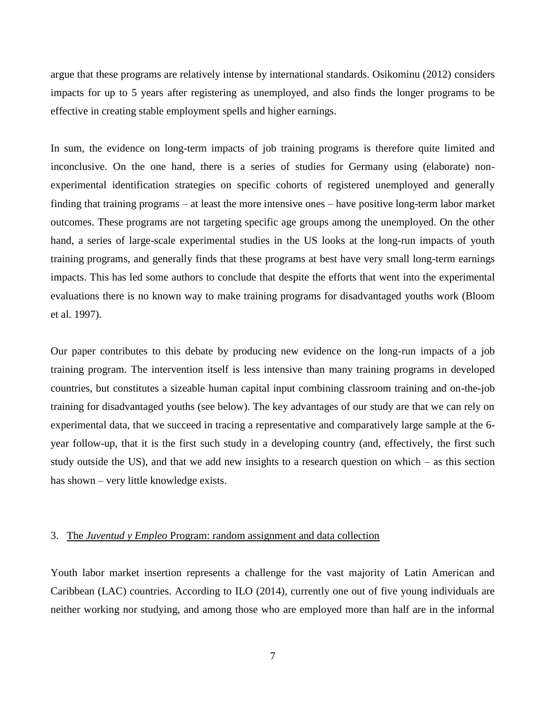argue that these programs are relatively intense by international standards. Osikominu (2012) considers impacts for up to 5 years after registering as unemployed, and also finds the longer programs to be effective in creating stable employment spells and higher earnings.

In sum, the evidence on long-term impacts of job training programs is therefore quite limited and inconclusive. On the one hand, there is a series of studies for Germany using (elaborate) nonexperimental identification strategies on specific cohorts of registered unemployed and generally finding that training programs – at least the more intensive ones – have positive long-term labor market outcomes. These programs are not targeting specific age groups among the unemployed. On the other hand, a series of large-scale experimental studies in the US looks at the long-run impacts of youth training programs, and generally finds that these programs at best have very small long-term earnings impacts. This has led some authors to conclude that despite the efforts that went into the experimental evaluations there is no known way to make training programs for disadvantaged youths work (Bloom et al. 1997).

Our paper contributes to this debate by producing new evidence on the long-run impacts of a job training program. The intervention itself is less intensive than many training programs in developed countries, but constitutes a sizeable human capital input combining classroom training and on-the-job training for disadvantaged youths (see below). The key advantages of our study are that we can rely on experimental data, that we succeed in tracing a representative and comparatively large sample at the 6 year follow-up, that it is the first such study in a developing country (and, effectively, the first such study outside the US), and that we add new insights to a research question on which – as this section has shown – very little knowledge exists.

# 3. The *Juventud y Empleo* Program: random assignment and data collection

Youth labor market insertion represents a challenge for the vast majority of Latin American and Caribbean (LAC) countries. According to ILO (2014), currently one out of five young individuals are neither working nor studying, and among those who are employed more than half are in the informal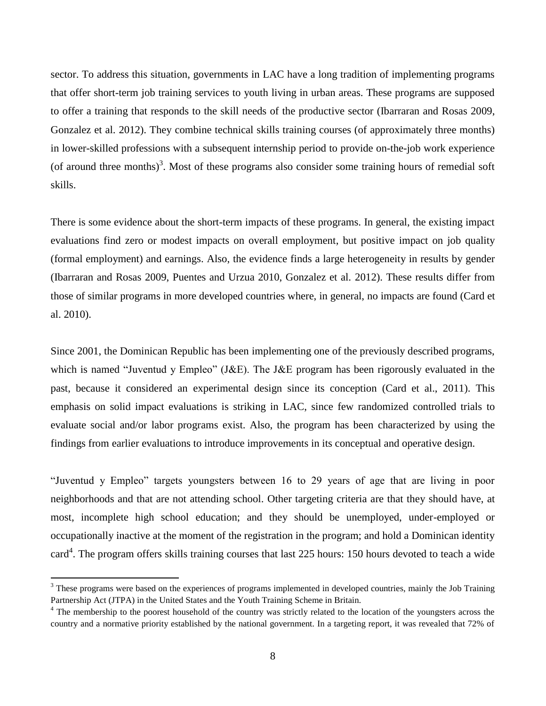sector. To address this situation, governments in LAC have a long tradition of implementing programs that offer short-term job training services to youth living in urban areas. These programs are supposed to offer a training that responds to the skill needs of the productive sector (Ibarraran and Rosas 2009, Gonzalez et al. 2012). They combine technical skills training courses (of approximately three months) in lower-skilled professions with a subsequent internship period to provide on-the-job work experience (of around three months)<sup>3</sup>. Most of these programs also consider some training hours of remedial soft skills.

There is some evidence about the short-term impacts of these programs. In general, the existing impact evaluations find zero or modest impacts on overall employment, but positive impact on job quality (formal employment) and earnings. Also, the evidence finds a large heterogeneity in results by gender (Ibarraran and Rosas 2009, Puentes and Urzua 2010, Gonzalez et al. 2012). These results differ from those of similar programs in more developed countries where, in general, no impacts are found (Card et al. 2010).

Since 2001, the Dominican Republic has been implementing one of the previously described programs, which is named "Juventud y Empleo" (J&E). The J&E program has been rigorously evaluated in the past, because it considered an experimental design since its conception (Card et al., 2011). This emphasis on solid impact evaluations is striking in LAC, since few randomized controlled trials to evaluate social and/or labor programs exist. Also, the program has been characterized by using the findings from earlier evaluations to introduce improvements in its conceptual and operative design.

"Juventud y Empleo" targets youngsters between 16 to 29 years of age that are living in poor neighborhoods and that are not attending school. Other targeting criteria are that they should have, at most, incomplete high school education; and they should be unemployed, under-employed or occupationally inactive at the moment of the registration in the program; and hold a Dominican identity card<sup>4</sup>. The program offers skills training courses that last 225 hours: 150 hours devoted to teach a wide

 $\overline{a}$ 

<sup>&</sup>lt;sup>3</sup> These programs were based on the experiences of programs implemented in developed countries, mainly the Job Training Partnership Act (JTPA) in the United States and the Youth Training Scheme in Britain.

<sup>&</sup>lt;sup>4</sup> The membership to the poorest household of the country was strictly related to the location of the youngsters across the country and a normative priority established by the national government. In a targeting report, it was revealed that 72% of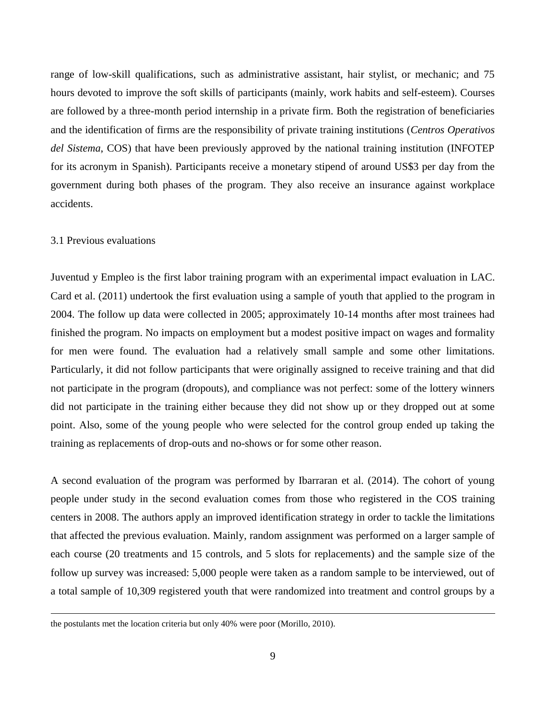range of low-skill qualifications, such as administrative assistant, hair stylist, or mechanic; and 75 hours devoted to improve the soft skills of participants (mainly, work habits and self-esteem). Courses are followed by a three-month period internship in a private firm. Both the registration of beneficiaries and the identification of firms are the responsibility of private training institutions (*Centros Operativos del Sistema*, COS) that have been previously approved by the national training institution (INFOTEP for its acronym in Spanish). Participants receive a monetary stipend of around US\$3 per day from the government during both phases of the program. They also receive an insurance against workplace accidents.

# 3.1 Previous evaluations

1

Juventud y Empleo is the first labor training program with an experimental impact evaluation in LAC. Card et al. (2011) undertook the first evaluation using a sample of youth that applied to the program in 2004. The follow up data were collected in 2005; approximately 10-14 months after most trainees had finished the program. No impacts on employment but a modest positive impact on wages and formality for men were found. The evaluation had a relatively small sample and some other limitations. Particularly, it did not follow participants that were originally assigned to receive training and that did not participate in the program (dropouts), and compliance was not perfect: some of the lottery winners did not participate in the training either because they did not show up or they dropped out at some point. Also, some of the young people who were selected for the control group ended up taking the training as replacements of drop-outs and no-shows or for some other reason.

A second evaluation of the program was performed by Ibarraran et al. (2014). The cohort of young people under study in the second evaluation comes from those who registered in the COS training centers in 2008. The authors apply an improved identification strategy in order to tackle the limitations that affected the previous evaluation. Mainly, random assignment was performed on a larger sample of each course (20 treatments and 15 controls, and 5 slots for replacements) and the sample size of the follow up survey was increased: 5,000 people were taken as a random sample to be interviewed, out of a total sample of 10,309 registered youth that were randomized into treatment and control groups by a

the postulants met the location criteria but only 40% were poor (Morillo, 2010).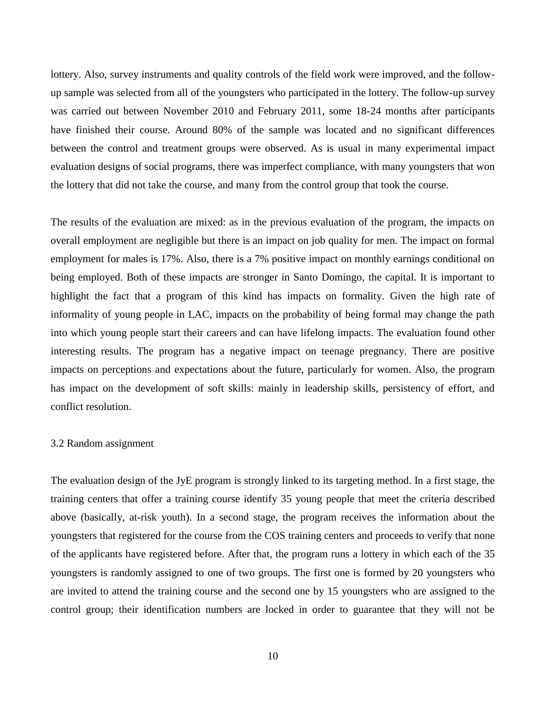lottery. Also, survey instruments and quality controls of the field work were improved, and the followup sample was selected from all of the youngsters who participated in the lottery. The follow-up survey was carried out between November 2010 and February 2011, some 18-24 months after participants have finished their course. Around 80% of the sample was located and no significant differences between the control and treatment groups were observed. As is usual in many experimental impact evaluation designs of social programs, there was imperfect compliance, with many youngsters that won the lottery that did not take the course, and many from the control group that took the course.

The results of the evaluation are mixed: as in the previous evaluation of the program, the impacts on overall employment are negligible but there is an impact on job quality for men. The impact on formal employment for males is 17%. Also, there is a 7% positive impact on monthly earnings conditional on being employed. Both of these impacts are stronger in Santo Domingo, the capital. It is important to highlight the fact that a program of this kind has impacts on formality. Given the high rate of informality of young people in LAC, impacts on the probability of being formal may change the path into which young people start their careers and can have lifelong impacts. The evaluation found other interesting results. The program has a negative impact on teenage pregnancy. There are positive impacts on perceptions and expectations about the future, particularly for women. Also, the program has impact on the development of soft skills: mainly in leadership skills, persistency of effort, and conflict resolution.

# 3.2 Random assignment

The evaluation design of the JyE program is strongly linked to its targeting method. In a first stage, the training centers that offer a training course identify 35 young people that meet the criteria described above (basically, at-risk youth). In a second stage, the program receives the information about the youngsters that registered for the course from the COS training centers and proceeds to verify that none of the applicants have registered before. After that, the program runs a lottery in which each of the 35 youngsters is randomly assigned to one of two groups. The first one is formed by 20 youngsters who are invited to attend the training course and the second one by 15 youngsters who are assigned to the control group; their identification numbers are locked in order to guarantee that they will not be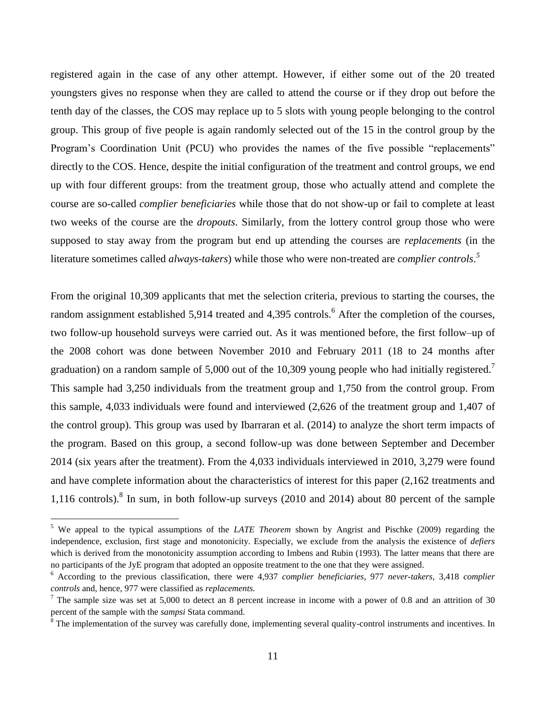registered again in the case of any other attempt. However, if either some out of the 20 treated youngsters gives no response when they are called to attend the course or if they drop out before the tenth day of the classes, the COS may replace up to 5 slots with young people belonging to the control group. This group of five people is again randomly selected out of the 15 in the control group by the Program's Coordination Unit (PCU) who provides the names of the five possible "replacements" directly to the COS. Hence, despite the initial configuration of the treatment and control groups, we end up with four different groups: from the treatment group, those who actually attend and complete the course are so-called *complier beneficiaries* while those that do not show-up or fail to complete at least two weeks of the course are the *dropouts*. Similarly, from the lottery control group those who were supposed to stay away from the program but end up attending the courses are *replacements* (in the literature sometimes called *always-takers*) while those who were non-treated are *complier controls*. *5*

From the original 10,309 applicants that met the selection criteria, previous to starting the courses, the random assignment established 5,914 treated and 4,395 controls.<sup>6</sup> After the completion of the courses, two follow-up household surveys were carried out. As it was mentioned before, the first follow–up of the 2008 cohort was done between November 2010 and February 2011 (18 to 24 months after graduation) on a random sample of 5,000 out of the 10,309 young people who had initially registered.<sup>7</sup> This sample had 3,250 individuals from the treatment group and 1,750 from the control group. From this sample, 4,033 individuals were found and interviewed (2,626 of the treatment group and 1,407 of the control group). This group was used by Ibarraran et al. (2014) to analyze the short term impacts of the program. Based on this group, a second follow-up was done between September and December 2014 (six years after the treatment). From the 4,033 individuals interviewed in 2010, 3,279 were found and have complete information about the characteristics of interest for this paper (2,162 treatments and 1,116 controls). 8 In sum, in both follow-up surveys (2010 and 2014) about 80 percent of the sample

 $\overline{a}$ 

<sup>5</sup> We appeal to the typical assumptions of the *LATE Theorem* shown by Angrist and Pischke (2009) regarding the independence, exclusion, first stage and monotonicity. Especially, we exclude from the analysis the existence of *defiers* which is derived from the monotonicity assumption according to Imbens and Rubin (1993). The latter means that there are no participants of the JyE program that adopted an opposite treatment to the one that they were assigned.

<sup>6</sup> According to the previous classification, there were 4,937 *complier beneficiaries*, 977 *never-takers*, 3,418 *complier controls* and, hence, 977 were classified as *replacements.*

<sup>&</sup>lt;sup>7</sup> The sample size was set at 5,000 to detect an 8 percent increase in income with a power of 0.8 and an attrition of 30 percent of the sample with the *sampsi* Stata command.

 $8$  The implementation of the survey was carefully done, implementing several quality-control instruments and incentives. In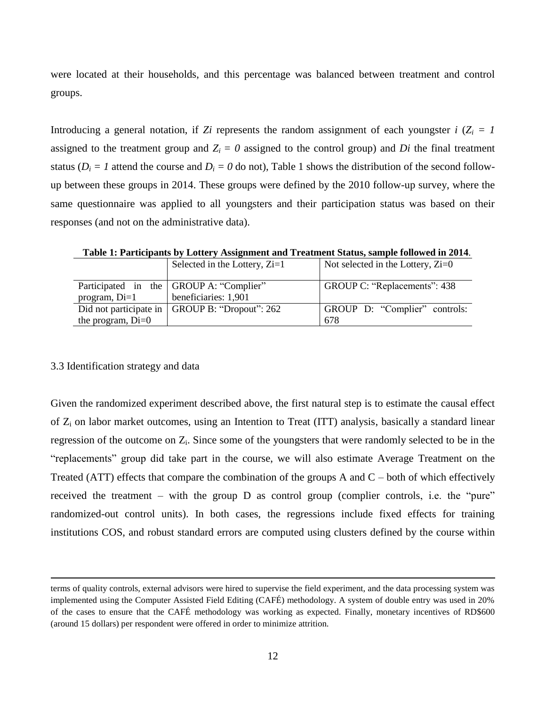were located at their households, and this percentage was balanced between treatment and control groups.

Introducing a general notation, if *Zi* represents the random assignment of each youngster *i* ( $Z_i = 1$ ) assigned to the treatment group and  $Z_i = 0$  assigned to the control group) and *Di* the final treatment status ( $D_i = I$  attend the course and  $D_i = 0$  do not), Table 1 shows the distribution of the second followup between these groups in 2014. These groups were defined by the 2010 follow-up survey, where the same questionnaire was applied to all youngsters and their participation status was based on their responses (and not on the administrative data).

**Table 1: Participants by Lottery Assignment and Treatment Status, sample followed in 2014**.

|                     | Selected in the Lottery, $Zi=1$                | Not selected in the Lottery, $\chi$ i=0 |
|---------------------|------------------------------------------------|-----------------------------------------|
|                     | Participated in the GROUP A: "Complier"        | GROUP C: "Replacements": 438            |
| program, $Di=1$     | beneficiaries: 1,901                           |                                         |
|                     | Did not participate in GROUP B: "Dropout": 262 | GROUP D: "Complier" controls:           |
| the program, $Di=0$ |                                                | 678                                     |

#### 3.3 Identification strategy and data

1

Given the randomized experiment described above, the first natural step is to estimate the causal effect of  $Z_i$  on labor market outcomes, using an Intention to Treat (ITT) analysis, basically a standard linear regression of the outcome on  $Z_i$ . Since some of the youngsters that were randomly selected to be in the "replacements" group did take part in the course, we will also estimate Average Treatment on the Treated (ATT) effects that compare the combination of the groups A and  $C$  – both of which effectively received the treatment – with the group D as control group (complier controls, i.e. the "pure" randomized-out control units). In both cases, the regressions include fixed effects for training institutions COS, and robust standard errors are computed using clusters defined by the course within

terms of quality controls, external advisors were hired to supervise the field experiment, and the data processing system was implemented using the Computer Assisted Field Editing (CAFÉ) methodology. A system of double entry was used in 20% of the cases to ensure that the CAFÉ methodology was working as expected. Finally, monetary incentives of RD\$600 (around 15 dollars) per respondent were offered in order to minimize attrition.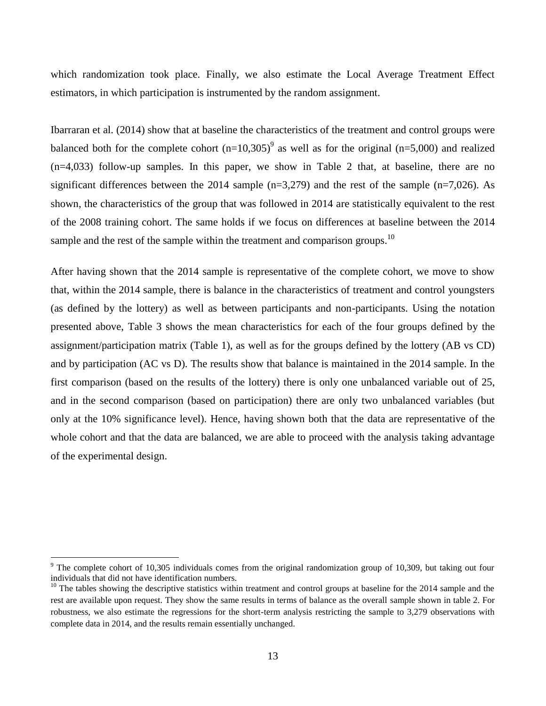which randomization took place. Finally, we also estimate the Local Average Treatment Effect estimators, in which participation is instrumented by the random assignment.

Ibarraran et al. (2014) show that at baseline the characteristics of the treatment and control groups were balanced both for the complete cohort  $(n=10,305)^9$  as well as for the original  $(n=5,000)$  and realized (n=4,033) follow-up samples. In this paper, we show in Table 2 that, at baseline, there are no significant differences between the 2014 sample  $(n=3,279)$  and the rest of the sample  $(n=7,026)$ . As shown, the characteristics of the group that was followed in 2014 are statistically equivalent to the rest of the 2008 training cohort. The same holds if we focus on differences at baseline between the 2014 sample and the rest of the sample within the treatment and comparison groups.<sup>10</sup>

After having shown that the 2014 sample is representative of the complete cohort, we move to show that, within the 2014 sample, there is balance in the characteristics of treatment and control youngsters (as defined by the lottery) as well as between participants and non-participants. Using the notation presented above, Table 3 shows the mean characteristics for each of the four groups defined by the assignment/participation matrix (Table 1), as well as for the groups defined by the lottery (AB vs CD) and by participation (AC vs D). The results show that balance is maintained in the 2014 sample. In the first comparison (based on the results of the lottery) there is only one unbalanced variable out of 25, and in the second comparison (based on participation) there are only two unbalanced variables (but only at the 10% significance level). Hence, having shown both that the data are representative of the whole cohort and that the data are balanced, we are able to proceed with the analysis taking advantage of the experimental design.

 $\overline{a}$ 

 $9$  The complete cohort of 10,305 individuals comes from the original randomization group of 10,309, but taking out four individuals that did not have identification numbers.

 $10$  The tables showing the descriptive statistics within treatment and control groups at baseline for the 2014 sample and the rest are available upon request. They show the same results in terms of balance as the overall sample shown in table 2. For robustness, we also estimate the regressions for the short-term analysis restricting the sample to 3,279 observations with complete data in 2014, and the results remain essentially unchanged.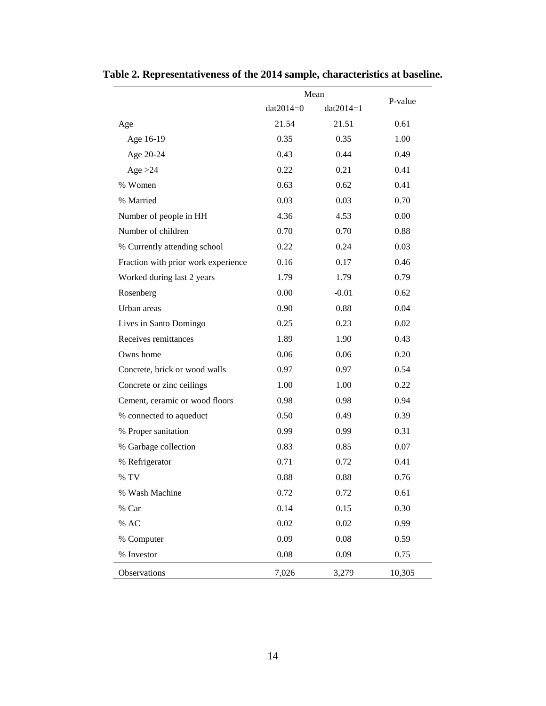|                                     | Mean        |             |         |
|-------------------------------------|-------------|-------------|---------|
|                                     | $dat2014=0$ | $dat2014=1$ | P-value |
| Age                                 | 21.54       | 21.51       | 0.61    |
| Age 16-19                           | 0.35        | 0.35        | 1.00    |
| Age 20-24                           | 0.43        | 0.44        | 0.49    |
| Age $>24$                           | 0.22        | 0.21        | 0.41    |
| % Women                             | 0.63        | 0.62        | 0.41    |
| % Married                           | 0.03        | 0.03        | 0.70    |
| Number of people in HH              | 4.36        | 4.53        | 0.00    |
| Number of children                  | 0.70        | 0.70        | 0.88    |
| % Currently attending school        | 0.22        | 0.24        | 0.03    |
| Fraction with prior work experience | 0.16        | 0.17        | 0.46    |
| Worked during last 2 years          | 1.79        | 1.79        | 0.79    |
| Rosenberg                           | 0.00        | $-0.01$     | 0.62    |
| Urban areas                         | 0.90        | 0.88        | 0.04    |
| Lives in Santo Domingo              | 0.25        | 0.23        | 0.02    |
| Receives remittances                | 1.89        | 1.90        | 0.43    |
| Owns home                           | 0.06        | 0.06        | 0.20    |
| Concrete, brick or wood walls       | 0.97        | 0.97        | 0.54    |
| Concrete or zinc ceilings           | 1.00        | 1.00        | 0.22    |
| Cement, ceramic or wood floors      | 0.98        | 0.98        | 0.94    |
| % connected to aqueduct             | 0.50        | 0.49        | 0.39    |
| % Proper sanitation                 | 0.99        | 0.99        | 0.31    |
| % Garbage collection                | 0.83        | 0.85        | 0.07    |
| % Refrigerator                      | 0.71        | 0.72        | 0.41    |
| % TV                                | 0.88        | 0.88        | 0.76    |
| % Wash Machine                      | 0.72        | 0.72        | 0.61    |
| % Car                               | 0.14        | 0.15        | 0.30    |
| % AC                                | 0.02        | 0.02        | 0.99    |
| % Computer                          | 0.09        | 0.08        | 0.59    |
| % Investor                          | $0.08\,$    | 0.09        | 0.75    |
| Observations                        | 7,026       | 3,279       | 10,305  |

**Table 2. Representativeness of the 2014 sample, characteristics at baseline.**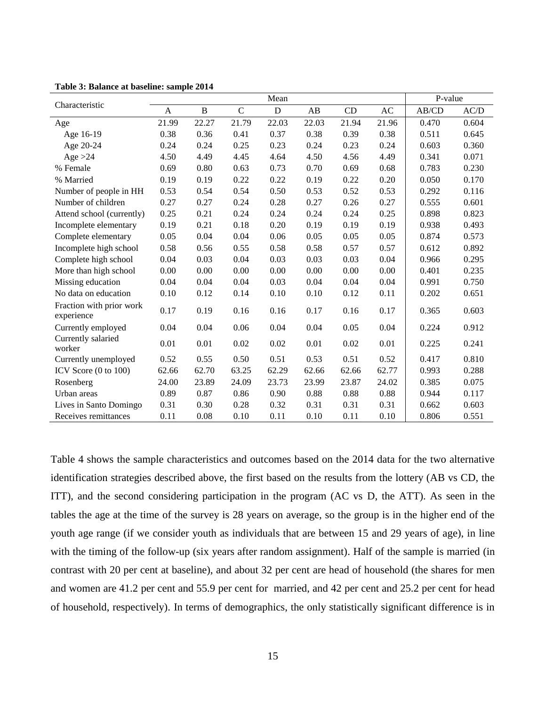|                                        |              |       |             | Mean        |       |       |       | P-value |       |
|----------------------------------------|--------------|-------|-------------|-------------|-------|-------|-------|---------|-------|
| Characteristic                         | $\mathbf{A}$ | B     | $\mathbf C$ | $\mathbf D$ | AB    | CD    | AC    | AB/CD   | AC/D  |
| Age                                    | 21.99        | 22.27 | 21.79       | 22.03       | 22.03 | 21.94 | 21.96 | 0.470   | 0.604 |
| Age 16-19                              | 0.38         | 0.36  | 0.41        | 0.37        | 0.38  | 0.39  | 0.38  | 0.511   | 0.645 |
| Age 20-24                              | 0.24         | 0.24  | 0.25        | 0.23        | 0.24  | 0.23  | 0.24  | 0.603   | 0.360 |
| Age $>24$                              | 4.50         | 4.49  | 4.45        | 4.64        | 4.50  | 4.56  | 4.49  | 0.341   | 0.071 |
| % Female                               | 0.69         | 0.80  | 0.63        | 0.73        | 0.70  | 0.69  | 0.68  | 0.783   | 0.230 |
| % Married                              | 0.19         | 0.19  | 0.22        | 0.22        | 0.19  | 0.22  | 0.20  | 0.050   | 0.170 |
| Number of people in HH                 | 0.53         | 0.54  | 0.54        | 0.50        | 0.53  | 0.52  | 0.53  | 0.292   | 0.116 |
| Number of children                     | 0.27         | 0.27  | 0.24        | 0.28        | 0.27  | 0.26  | 0.27  | 0.555   | 0.601 |
| Attend school (currently)              | 0.25         | 0.21  | 0.24        | 0.24        | 0.24  | 0.24  | 0.25  | 0.898   | 0.823 |
| Incomplete elementary                  | 0.19         | 0.21  | 0.18        | 0.20        | 0.19  | 0.19  | 0.19  | 0.938   | 0.493 |
| Complete elementary                    | 0.05         | 0.04  | 0.04        | 0.06        | 0.05  | 0.05  | 0.05  | 0.874   | 0.573 |
| Incomplete high school                 | 0.58         | 0.56  | 0.55        | 0.58        | 0.58  | 0.57  | 0.57  | 0.612   | 0.892 |
| Complete high school                   | 0.04         | 0.03  | 0.04        | 0.03        | 0.03  | 0.03  | 0.04  | 0.966   | 0.295 |
| More than high school                  | 0.00         | 0.00  | 0.00        | 0.00        | 0.00  | 0.00  | 0.00  | 0.401   | 0.235 |
| Missing education                      | 0.04         | 0.04  | 0.04        | 0.03        | 0.04  | 0.04  | 0.04  | 0.991   | 0.750 |
| No data on education                   | 0.10         | 0.12  | 0.14        | 0.10        | 0.10  | 0.12  | 0.11  | 0.202   | 0.651 |
| Fraction with prior work<br>experience | 0.17         | 0.19  | 0.16        | 0.16        | 0.17  | 0.16  | 0.17  | 0.365   | 0.603 |
| Currently employed                     | 0.04         | 0.04  | 0.06        | 0.04        | 0.04  | 0.05  | 0.04  | 0.224   | 0.912 |
| Currently salaried<br>worker           | 0.01         | 0.01  | 0.02        | 0.02        | 0.01  | 0.02  | 0.01  | 0.225   | 0.241 |
| Currently unemployed                   | 0.52         | 0.55  | 0.50        | 0.51        | 0.53  | 0.51  | 0.52  | 0.417   | 0.810 |
| ICV Score $(0 \text{ to } 100)$        | 62.66        | 62.70 | 63.25       | 62.29       | 62.66 | 62.66 | 62.77 | 0.993   | 0.288 |
| Rosenberg                              | 24.00        | 23.89 | 24.09       | 23.73       | 23.99 | 23.87 | 24.02 | 0.385   | 0.075 |
| Urban areas                            | 0.89         | 0.87  | 0.86        | 0.90        | 0.88  | 0.88  | 0.88  | 0.944   | 0.117 |
| Lives in Santo Domingo                 | 0.31         | 0.30  | 0.28        | 0.32        | 0.31  | 0.31  | 0.31  | 0.662   | 0.603 |
| Receives remittances                   | 0.11         | 0.08  | 0.10        | 0.11        | 0.10  | 0.11  | 0.10  | 0.806   | 0.551 |

**Table 3: Balance at baseline: sample 2014**

Table 4 shows the sample characteristics and outcomes based on the 2014 data for the two alternative identification strategies described above, the first based on the results from the lottery (AB vs CD, the ITT), and the second considering participation in the program (AC vs D, the ATT). As seen in the tables the age at the time of the survey is 28 years on average, so the group is in the higher end of the youth age range (if we consider youth as individuals that are between 15 and 29 years of age), in line with the timing of the follow-up (six years after random assignment). Half of the sample is married (in contrast with 20 per cent at baseline), and about 32 per cent are head of household (the shares for men and women are 41.2 per cent and 55.9 per cent for married, and 42 per cent and 25.2 per cent for head of household, respectively). In terms of demographics, the only statistically significant difference is in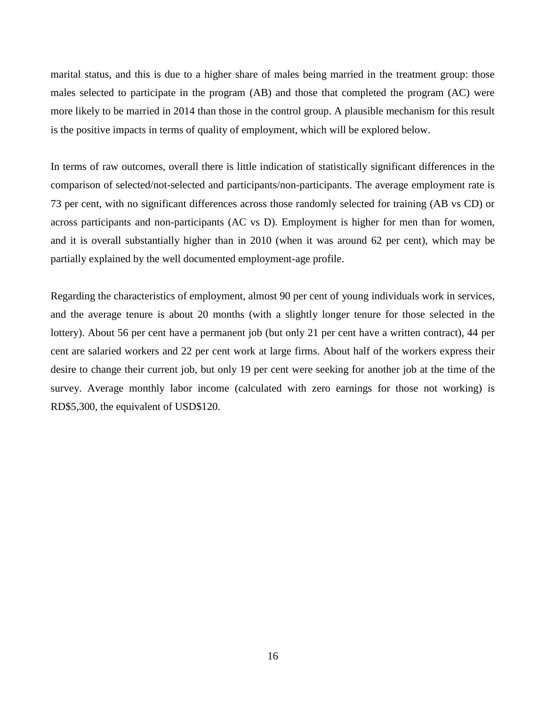marital status, and this is due to a higher share of males being married in the treatment group: those males selected to participate in the program (AB) and those that completed the program (AC) were more likely to be married in 2014 than those in the control group. A plausible mechanism for this result is the positive impacts in terms of quality of employment, which will be explored below.

In terms of raw outcomes, overall there is little indication of statistically significant differences in the comparison of selected/not-selected and participants/non-participants. The average employment rate is 73 per cent, with no significant differences across those randomly selected for training (AB vs CD) or across participants and non-participants (AC vs D). Employment is higher for men than for women, and it is overall substantially higher than in 2010 (when it was around 62 per cent), which may be partially explained by the well documented employment-age profile.

Regarding the characteristics of employment, almost 90 per cent of young individuals work in services, and the average tenure is about 20 months (with a slightly longer tenure for those selected in the lottery). About 56 per cent have a permanent job (but only 21 per cent have a written contract), 44 per cent are salaried workers and 22 per cent work at large firms. About half of the workers express their desire to change their current job, but only 19 per cent were seeking for another job at the time of the survey. Average monthly labor income (calculated with zero earnings for those not working) is RD\$5,300, the equivalent of USD\$120.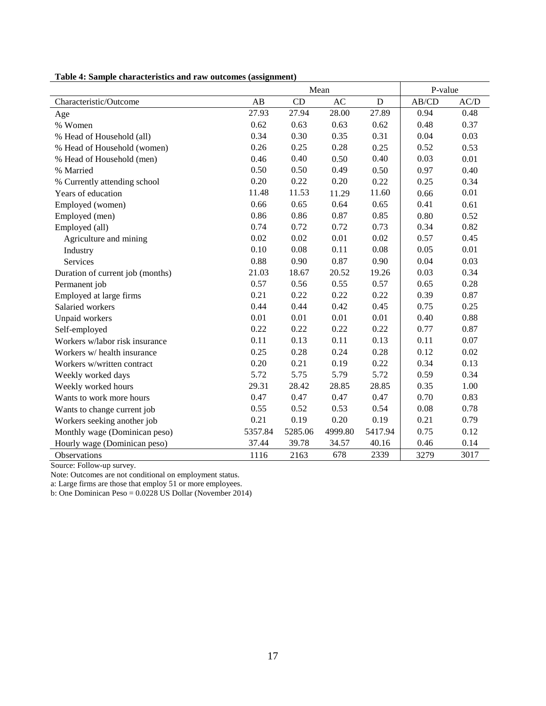|                                  |         | Mean    |         |         | P-value |      |
|----------------------------------|---------|---------|---------|---------|---------|------|
| Characteristic/Outcome           | AB      | CD      | AC      | D       | AB/CD   | AC/D |
| Age                              | 27.93   | 27.94   | 28.00   | 27.89   | 0.94    | 0.48 |
| % Women                          | 0.62    | 0.63    | 0.63    | 0.62    | 0.48    | 0.37 |
| % Head of Household (all)        | 0.34    | 0.30    | 0.35    | 0.31    | 0.04    | 0.03 |
| % Head of Household (women)      | 0.26    | 0.25    | 0.28    | 0.25    | 0.52    | 0.53 |
| % Head of Household (men)        | 0.46    | 0.40    | 0.50    | 0.40    | 0.03    | 0.01 |
| % Married                        | 0.50    | 0.50    | 0.49    | 0.50    | 0.97    | 0.40 |
| % Currently attending school     | 0.20    | 0.22    | 0.20    | 0.22    | 0.25    | 0.34 |
| Years of education               | 11.48   | 11.53   | 11.29   | 11.60   | 0.66    | 0.01 |
| Employed (women)                 | 0.66    | 0.65    | 0.64    | 0.65    | 0.41    | 0.61 |
| Employed (men)                   | 0.86    | 0.86    | 0.87    | 0.85    | 0.80    | 0.52 |
| Employed (all)                   | 0.74    | 0.72    | 0.72    | 0.73    | 0.34    | 0.82 |
| Agriculture and mining           | 0.02    | 0.02    | 0.01    | 0.02    | 0.57    | 0.45 |
| Industry                         | 0.10    | 0.08    | 0.11    | 0.08    | 0.05    | 0.01 |
| Services                         | 0.88    | 0.90    | 0.87    | 0.90    | 0.04    | 0.03 |
| Duration of current job (months) | 21.03   | 18.67   | 20.52   | 19.26   | 0.03    | 0.34 |
| Permanent job                    | 0.57    | 0.56    | 0.55    | 0.57    | 0.65    | 0.28 |
| Employed at large firms          | 0.21    | 0.22    | 0.22    | 0.22    | 0.39    | 0.87 |
| Salaried workers                 | 0.44    | 0.44    | 0.42    | 0.45    | 0.75    | 0.25 |
| Unpaid workers                   | 0.01    | 0.01    | 0.01    | 0.01    | 0.40    | 0.88 |
| Self-employed                    | 0.22    | 0.22    | 0.22    | 0.22    | 0.77    | 0.87 |
| Workers w/labor risk insurance   | 0.11    | 0.13    | 0.11    | 0.13    | 0.11    | 0.07 |
| Workers w/ health insurance      | 0.25    | 0.28    | 0.24    | 0.28    | 0.12    | 0.02 |
| Workers w/written contract       | 0.20    | 0.21    | 0.19    | 0.22    | 0.34    | 0.13 |
| Weekly worked days               | 5.72    | 5.75    | 5.79    | 5.72    | 0.59    | 0.34 |
| Weekly worked hours              | 29.31   | 28.42   | 28.85   | 28.85   | 0.35    | 1.00 |
| Wants to work more hours         | 0.47    | 0.47    | 0.47    | 0.47    | 0.70    | 0.83 |
| Wants to change current job      | 0.55    | 0.52    | 0.53    | 0.54    | 0.08    | 0.78 |
| Workers seeking another job      | 0.21    | 0.19    | 0.20    | 0.19    | 0.21    | 0.79 |
| Monthly wage (Dominican peso)    | 5357.84 | 5285.06 | 4999.80 | 5417.94 | 0.75    | 0.12 |
| Hourly wage (Dominican peso)     | 37.44   | 39.78   | 34.57   | 40.16   | 0.46    | 0.14 |
| Observations                     | 1116    | 2163    | 678     | 2339    | 3279    | 3017 |

**Table 4: Sample characteristics and raw outcomes (assignment)**

Source: Follow-up survey.

Note: Outcomes are not conditional on employment status.

a: Large firms are those that employ 51 or more employees.

b: One Dominican Peso = 0.0228 US Dollar (November 2014)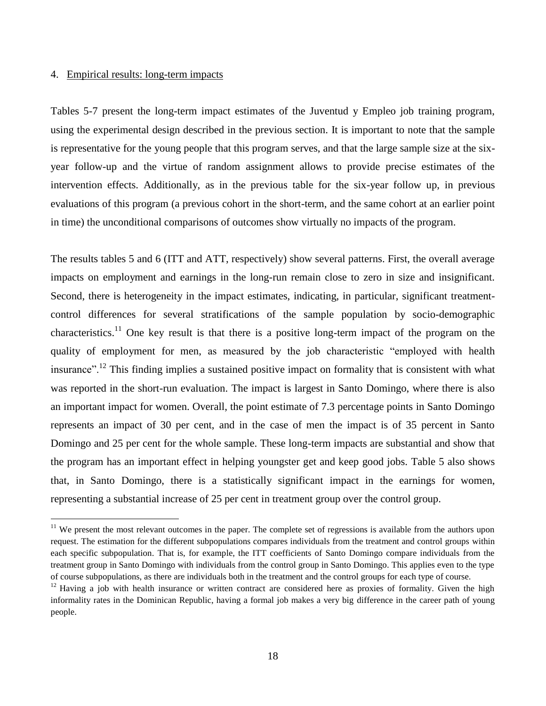## 4. Empirical results: long-term impacts

 $\overline{a}$ 

Tables 5-7 present the long-term impact estimates of the Juventud y Empleo job training program, using the experimental design described in the previous section. It is important to note that the sample is representative for the young people that this program serves, and that the large sample size at the sixyear follow-up and the virtue of random assignment allows to provide precise estimates of the intervention effects. Additionally, as in the previous table for the six-year follow up, in previous evaluations of this program (a previous cohort in the short-term, and the same cohort at an earlier point in time) the unconditional comparisons of outcomes show virtually no impacts of the program.

The results tables 5 and 6 (ITT and ATT, respectively) show several patterns. First, the overall average impacts on employment and earnings in the long-run remain close to zero in size and insignificant. Second, there is heterogeneity in the impact estimates, indicating, in particular, significant treatmentcontrol differences for several stratifications of the sample population by socio-demographic characteristics.<sup>11</sup> One key result is that there is a positive long-term impact of the program on the quality of employment for men, as measured by the job characteristic "employed with health insurance".<sup>12</sup> This finding implies a sustained positive impact on formality that is consistent with what was reported in the short-run evaluation. The impact is largest in Santo Domingo, where there is also an important impact for women. Overall, the point estimate of 7.3 percentage points in Santo Domingo represents an impact of 30 per cent, and in the case of men the impact is of 35 percent in Santo Domingo and 25 per cent for the whole sample. These long-term impacts are substantial and show that the program has an important effect in helping youngster get and keep good jobs. Table 5 also shows that, in Santo Domingo, there is a statistically significant impact in the earnings for women, representing a substantial increase of 25 per cent in treatment group over the control group.

 $11$  We present the most relevant outcomes in the paper. The complete set of regressions is available from the authors upon request. The estimation for the different subpopulations compares individuals from the treatment and control groups within each specific subpopulation. That is, for example, the ITT coefficients of Santo Domingo compare individuals from the treatment group in Santo Domingo with individuals from the control group in Santo Domingo. This applies even to the type of course subpopulations, as there are individuals both in the treatment and the control groups for each type of course.

 $12$  Having a job with health insurance or written contract are considered here as proxies of formality. Given the high informality rates in the Dominican Republic, having a formal job makes a very big difference in the career path of young people.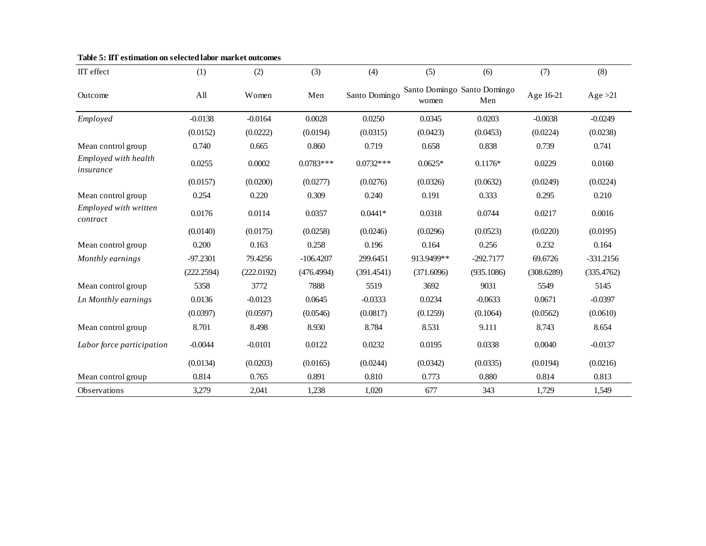| IIT effect                        | (1)        | (2)        | (3)         | (4)           | (5)        | (6)                                | (7)        | (8)         |
|-----------------------------------|------------|------------|-------------|---------------|------------|------------------------------------|------------|-------------|
| Outcome                           | All        | Women      | Men         | Santo Domingo | women      | Santo Domingo Santo Domingo<br>Men | Age 16-21  | Age $>21$   |
| Employed                          | $-0.0138$  | $-0.0164$  | 0.0028      | 0.0250        | 0.0345     | 0.0203                             | $-0.0038$  | $-0.0249$   |
|                                   | (0.0152)   | (0.0222)   | (0.0194)    | (0.0315)      | (0.0423)   | (0.0453)                           | (0.0224)   | (0.0238)    |
| Mean control group                | 0.740      | 0.665      | 0.860       | 0.719         | 0.658      | 0.838                              | 0.739      | 0.741       |
| Employed with health<br>insurance | 0.0255     | 0.0002     | $0.0783***$ | $0.0732***$   | $0.0625*$  | $0.1176*$                          | 0.0229     | 0.0160      |
|                                   | (0.0157)   | (0.0200)   | (0.0277)    | (0.0276)      | (0.0326)   | (0.0632)                           | (0.0249)   | (0.0224)    |
| Mean control group                | 0.254      | 0.220      | 0.309       | 0.240         | 0.191      | 0.333                              | 0.295      | 0.210       |
| Employed with written<br>contract | 0.0176     | 0.0114     | 0.0357      | $0.0441*$     | 0.0318     | 0.0744                             | 0.0217     | 0.0016      |
|                                   | (0.0140)   | (0.0175)   | (0.0258)    | (0.0246)      | (0.0296)   | (0.0523)                           | (0.0220)   | (0.0195)    |
| Mean control group                | 0.200      | 0.163      | 0.258       | 0.196         | 0.164      | 0.256                              | 0.232      | 0.164       |
| Monthly earnings                  | $-97.2301$ | 79.4256    | $-106.4207$ | 299.6451      | 913.9499** | $-292.7177$                        | 69.6726    | $-331.2156$ |
|                                   | (222.2594) | (222.0192) | (476.4994)  | (391.4541)    | (371.6096) | (935.1086)                         | (308.6289) | (335.4762)  |
| Mean control group                | 5358       | 3772       | 7888        | 5519          | 3692       | 9031                               | 5549       | 5145        |
| Ln Monthly earnings               | 0.0136     | $-0.0123$  | 0.0645      | $-0.0333$     | 0.0234     | $-0.0633$                          | 0.0671     | $-0.0397$   |
|                                   | (0.0397)   | (0.0597)   | (0.0546)    | (0.0817)      | (0.1259)   | (0.1064)                           | (0.0562)   | (0.0610)    |
| Mean control group                | 8.701      | 8.498      | 8.930       | 8.784         | 8.531      | 9.111                              | 8.743      | 8.654       |
| Labor force participation         | $-0.0044$  | $-0.0101$  | 0.0122      | 0.0232        | 0.0195     | 0.0338                             | 0.0040     | $-0.0137$   |
|                                   | (0.0134)   | (0.0203)   | (0.0165)    | (0.0244)      | (0.0342)   | (0.0335)                           | (0.0194)   | (0.0216)    |
| Mean control group                | 0.814      | 0.765      | 0.891       | 0.810         | 0.773      | 0.880                              | 0.814      | 0.813       |
| <b>Observations</b>               | 3,279      | 2,041      | 1,238       | 1,020         | 677        | 343                                | 1,729      | 1,549       |

**Table 5: IIT estimation on selected labor market outcomes**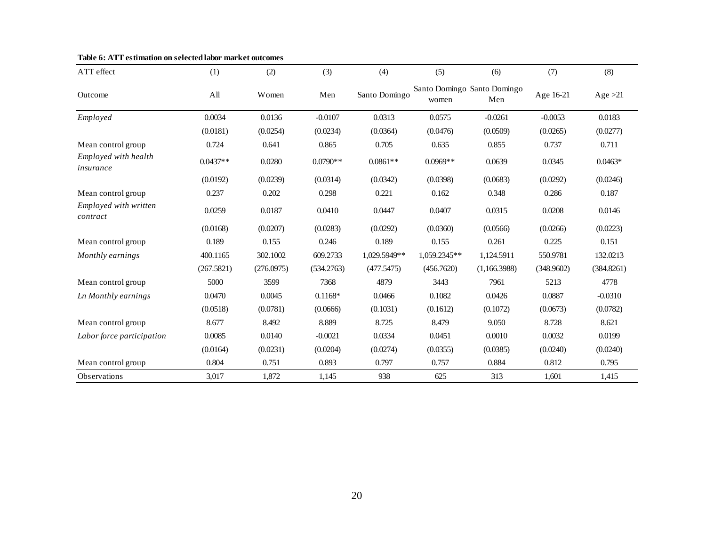| ATT effect                        | (1)        | (2)        | (3)        | (4)           | (5)                                  | (6)          | (7)        | (8)        |
|-----------------------------------|------------|------------|------------|---------------|--------------------------------------|--------------|------------|------------|
| Outcome                           | A11        | Women      | Men        | Santo Domingo | Santo Domingo Santo Domingo<br>women | Men          | Age 16-21  | Age $>21$  |
| Employed                          | 0.0034     | 0.0136     | $-0.0107$  | 0.0313        | 0.0575                               | $-0.0261$    | $-0.0053$  | 0.0183     |
|                                   | (0.0181)   | (0.0254)   | (0.0234)   | (0.0364)      | (0.0476)                             | (0.0509)     | (0.0265)   | (0.0277)   |
| Mean control group                | 0.724      | 0.641      | 0.865      | 0.705         | 0.635                                | 0.855        | 0.737      | 0.711      |
| Employed with health<br>insurance | $0.0437**$ | 0.0280     | $0.0790**$ | $0.0861**$    | $0.0969**$                           | 0.0639       | 0.0345     | $0.0463*$  |
|                                   | (0.0192)   | (0.0239)   | (0.0314)   | (0.0342)      | (0.0398)                             | (0.0683)     | (0.0292)   | (0.0246)   |
| Mean control group                | 0.237      | 0.202      | 0.298      | 0.221         | 0.162                                | 0.348        | 0.286      | 0.187      |
| Employed with written<br>contract | 0.0259     | 0.0187     | 0.0410     | 0.0447        | 0.0407                               | 0.0315       | 0.0208     | 0.0146     |
|                                   | (0.0168)   | (0.0207)   | (0.0283)   | (0.0292)      | (0.0360)                             | (0.0566)     | (0.0266)   | (0.0223)   |
| Mean control group                | 0.189      | 0.155      | 0.246      | 0.189         | 0.155                                | 0.261        | 0.225      | 0.151      |
| Monthly earnings                  | 400.1165   | 302.1002   | 609.2733   | 1,029.5949**  | 1,059.2345**                         | 1,124.5911   | 550.9781   | 132.0213   |
|                                   | (267.5821) | (276.0975) | (534.2763) | (477.5475)    | (456.7620)                           | (1,166.3988) | (348.9602) | (384.8261) |
| Mean control group                | 5000       | 3599       | 7368       | 4879          | 3443                                 | 7961         | 5213       | 4778       |
| Ln Monthly earnings               | 0.0470     | 0.0045     | $0.1168*$  | 0.0466        | 0.1082                               | 0.0426       | 0.0887     | $-0.0310$  |
|                                   | (0.0518)   | (0.0781)   | (0.0666)   | (0.1031)      | (0.1612)                             | (0.1072)     | (0.0673)   | (0.0782)   |
| Mean control group                | 8.677      | 8.492      | 8.889      | 8.725         | 8.479                                | 9.050        | 8.728      | 8.621      |
| Labor force participation         | 0.0085     | 0.0140     | $-0.0021$  | 0.0334        | 0.0451                               | 0.0010       | 0.0032     | 0.0199     |
|                                   | (0.0164)   | (0.0231)   | (0.0204)   | (0.0274)      | (0.0355)                             | (0.0385)     | (0.0240)   | (0.0240)   |
| Mean control group                | 0.804      | 0.751      | 0.893      | 0.797         | 0.757                                | 0.884        | 0.812      | 0.795      |
| <b>Observations</b>               | 3,017      | 1,872      | 1,145      | 938           | 625                                  | 313          | 1,601      | 1,415      |

## **Table 6: ATT estimation on selected labor market outcomes**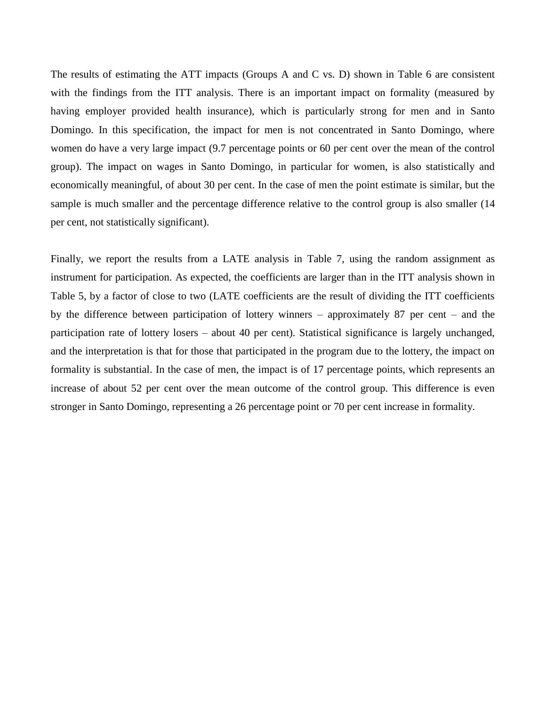The results of estimating the ATT impacts (Groups A and C vs. D) shown in Table 6 are consistent with the findings from the ITT analysis. There is an important impact on formality (measured by having employer provided health insurance), which is particularly strong for men and in Santo Domingo. In this specification, the impact for men is not concentrated in Santo Domingo, where women do have a very large impact (9.7 percentage points or 60 per cent over the mean of the control group). The impact on wages in Santo Domingo, in particular for women, is also statistically and economically meaningful, of about 30 per cent. In the case of men the point estimate is similar, but the sample is much smaller and the percentage difference relative to the control group is also smaller (14 per cent, not statistically significant).

Finally, we report the results from a LATE analysis in Table 7, using the random assignment as instrument for participation. As expected, the coefficients are larger than in the ITT analysis shown in Table 5, by a factor of close to two (LATE coefficients are the result of dividing the ITT coefficients by the difference between participation of lottery winners – approximately 87 per cent – and the participation rate of lottery losers – about 40 per cent). Statistical significance is largely unchanged, and the interpretation is that for those that participated in the program due to the lottery, the impact on formality is substantial. In the case of men, the impact is of 17 percentage points, which represents an increase of about 52 per cent over the mean outcome of the control group. This difference is even stronger in Santo Domingo, representing a 26 percentage point or 70 per cent increase in formality.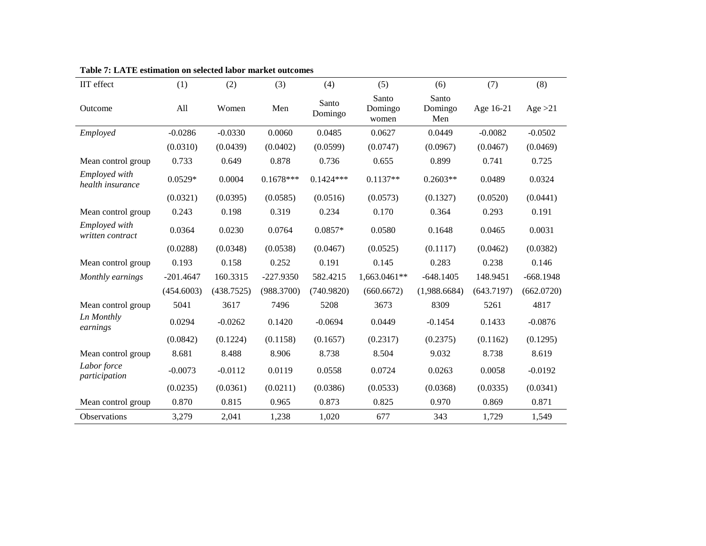| IIT effect                        | (1)         | (2)        | (3)         | (4)              | (5)                       | (6)                     | (7)        | (8)         |
|-----------------------------------|-------------|------------|-------------|------------------|---------------------------|-------------------------|------------|-------------|
| Outcome                           | All         | Women      | Men         | Santo<br>Domingo | Santo<br>Domingo<br>women | Santo<br>Domingo<br>Men | Age 16-21  | Age $>21$   |
| Employed                          | $-0.0286$   | $-0.0330$  | 0.0060      | 0.0485           | 0.0627                    | 0.0449                  | $-0.0082$  | $-0.0502$   |
|                                   | (0.0310)    | (0.0439)   | (0.0402)    | (0.0599)         | (0.0747)                  | (0.0967)                | (0.0467)   | (0.0469)    |
| Mean control group                | 0.733       | 0.649      | 0.878       | 0.736            | 0.655                     | 0.899                   | 0.741      | 0.725       |
| Employed with<br>health insurance | $0.0529*$   | 0.0004     | $0.1678***$ | $0.1424***$      | $0.1137**$                | $0.2603**$              | 0.0489     | 0.0324      |
|                                   | (0.0321)    | (0.0395)   | (0.0585)    | (0.0516)         | (0.0573)                  | (0.1327)                | (0.0520)   | (0.0441)    |
| Mean control group                | 0.243       | 0.198      | 0.319       | 0.234            | 0.170                     | 0.364                   | 0.293      | 0.191       |
| Employed with<br>written contract | 0.0364      | 0.0230     | 0.0764      | $0.0857*$        | 0.0580                    | 0.1648                  | 0.0465     | 0.0031      |
|                                   | (0.0288)    | (0.0348)   | (0.0538)    | (0.0467)         | (0.0525)                  | (0.1117)                | (0.0462)   | (0.0382)    |
| Mean control group                | 0.193       | 0.158      | 0.252       | 0.191            | 0.145                     | 0.283                   | 0.238      | 0.146       |
| Monthly earnings                  | $-201.4647$ | 160.3315   | $-227.9350$ | 582.4215         | 1,663.0461**              | $-648.1405$             | 148.9451   | $-668.1948$ |
|                                   | (454.6003)  | (438.7525) | (988.3700)  | (740.9820)       | (660.6672)                | (1,988.6684)            | (643.7197) | (662.0720)  |
| Mean control group                | 5041        | 3617       | 7496        | 5208             | 3673                      | 8309                    | 5261       | 4817        |
| Ln Monthly<br>earnings            | 0.0294      | $-0.0262$  | 0.1420      | $-0.0694$        | 0.0449                    | $-0.1454$               | 0.1433     | $-0.0876$   |
|                                   | (0.0842)    | (0.1224)   | (0.1158)    | (0.1657)         | (0.2317)                  | (0.2375)                | (0.1162)   | (0.1295)    |
| Mean control group                | 8.681       | 8.488      | 8.906       | 8.738            | 8.504                     | 9.032                   | 8.738      | 8.619       |
| Labor force<br>participation      | $-0.0073$   | $-0.0112$  | 0.0119      | 0.0558           | 0.0724                    | 0.0263                  | 0.0058     | $-0.0192$   |
|                                   | (0.0235)    | (0.0361)   | (0.0211)    | (0.0386)         | (0.0533)                  | (0.0368)                | (0.0335)   | (0.0341)    |
| Mean control group                | 0.870       | 0.815      | 0.965       | 0.873            | 0.825                     | 0.970                   | 0.869      | 0.871       |
| <b>Observations</b>               | 3,279       | 2,041      | 1,238       | 1,020            | 677                       | 343                     | 1,729      | 1,549       |

**Table 7: LATE estimation on selected labor market outcomes**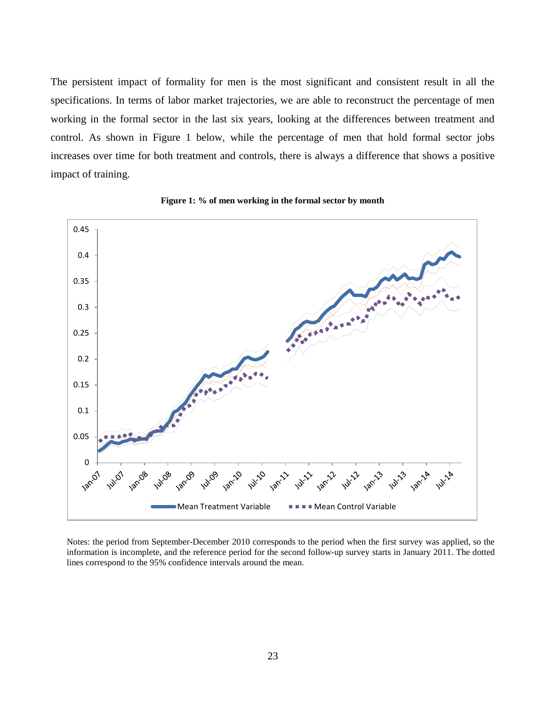The persistent impact of formality for men is the most significant and consistent result in all the specifications. In terms of labor market trajectories, we are able to reconstruct the percentage of men working in the formal sector in the last six years, looking at the differences between treatment and control. As shown in Figure 1 below, while the percentage of men that hold formal sector jobs increases over time for both treatment and controls, there is always a difference that shows a positive impact of training.



**Figure 1: % of men working in the formal sector by month**

Notes: the period from September-December 2010 corresponds to the period when the first survey was applied, so the information is incomplete, and the reference period for the second follow-up survey starts in January 2011. The dotted lines correspond to the 95% confidence intervals around the mean.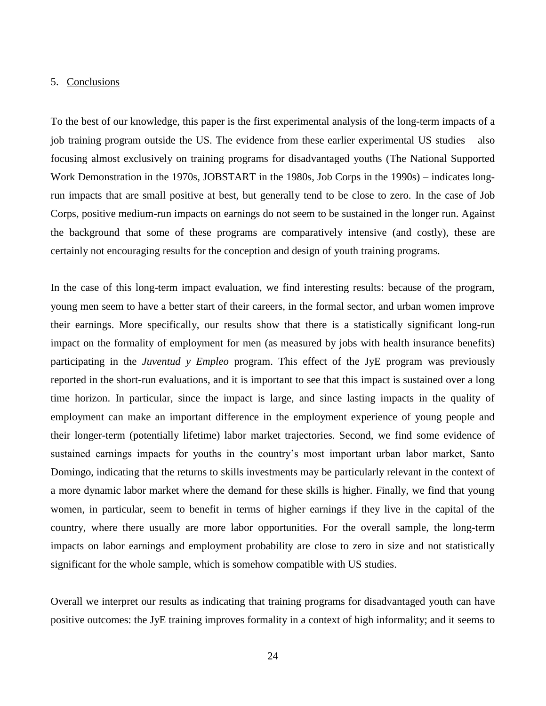#### 5. Conclusions

To the best of our knowledge, this paper is the first experimental analysis of the long-term impacts of a job training program outside the US. The evidence from these earlier experimental US studies – also focusing almost exclusively on training programs for disadvantaged youths (The National Supported Work Demonstration in the 1970s, JOBSTART in the 1980s, Job Corps in the 1990s) – indicates longrun impacts that are small positive at best, but generally tend to be close to zero. In the case of Job Corps, positive medium-run impacts on earnings do not seem to be sustained in the longer run. Against the background that some of these programs are comparatively intensive (and costly), these are certainly not encouraging results for the conception and design of youth training programs.

In the case of this long-term impact evaluation, we find interesting results: because of the program, young men seem to have a better start of their careers, in the formal sector, and urban women improve their earnings. More specifically, our results show that there is a statistically significant long-run impact on the formality of employment for men (as measured by jobs with health insurance benefits) participating in the *Juventud y Empleo* program. This effect of the JyE program was previously reported in the short-run evaluations, and it is important to see that this impact is sustained over a long time horizon. In particular, since the impact is large, and since lasting impacts in the quality of employment can make an important difference in the employment experience of young people and their longer-term (potentially lifetime) labor market trajectories. Second, we find some evidence of sustained earnings impacts for youths in the country's most important urban labor market, Santo Domingo, indicating that the returns to skills investments may be particularly relevant in the context of a more dynamic labor market where the demand for these skills is higher. Finally, we find that young women, in particular, seem to benefit in terms of higher earnings if they live in the capital of the country, where there usually are more labor opportunities. For the overall sample, the long-term impacts on labor earnings and employment probability are close to zero in size and not statistically significant for the whole sample, which is somehow compatible with US studies.

Overall we interpret our results as indicating that training programs for disadvantaged youth can have positive outcomes: the JyE training improves formality in a context of high informality; and it seems to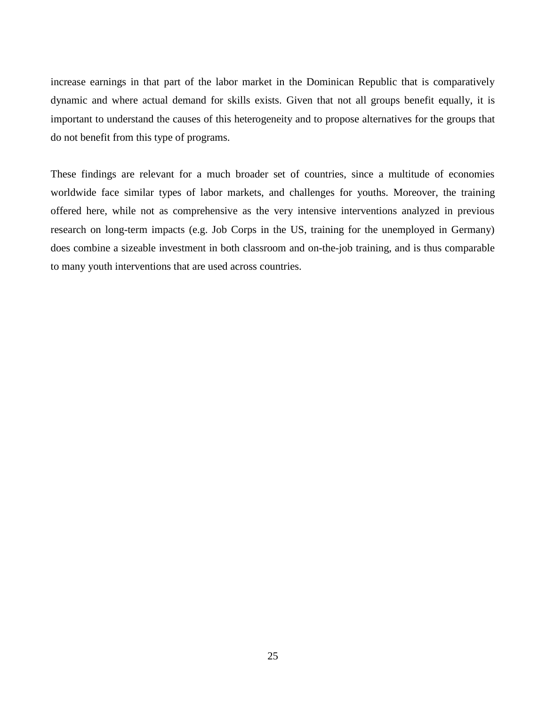increase earnings in that part of the labor market in the Dominican Republic that is comparatively dynamic and where actual demand for skills exists. Given that not all groups benefit equally, it is important to understand the causes of this heterogeneity and to propose alternatives for the groups that do not benefit from this type of programs.

These findings are relevant for a much broader set of countries, since a multitude of economies worldwide face similar types of labor markets, and challenges for youths. Moreover, the training offered here, while not as comprehensive as the very intensive interventions analyzed in previous research on long-term impacts (e.g. Job Corps in the US, training for the unemployed in Germany) does combine a sizeable investment in both classroom and on-the-job training, and is thus comparable to many youth interventions that are used across countries.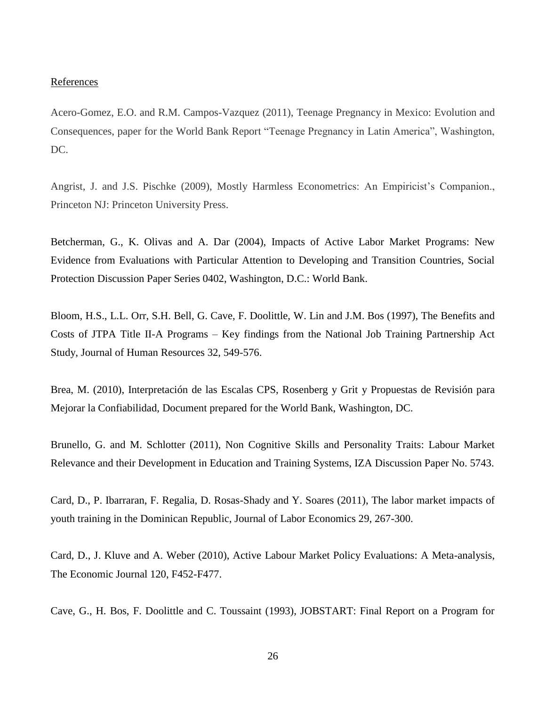#### **References**

Acero-Gomez, E.O. and R.M. Campos-Vazquez (2011), Teenage Pregnancy in Mexico: Evolution and Consequences, paper for the World Bank Report "Teenage Pregnancy in Latin America", Washington, DC.

Angrist, J. and J.S. Pischke (2009), Mostly Harmless Econometrics: An Empiricist's Companion., Princeton NJ: Princeton University Press.

Betcherman, G., K. Olivas and A. Dar (2004), Impacts of Active Labor Market Programs: New Evidence from Evaluations with Particular Attention to Developing and Transition Countries, Social Protection Discussion Paper Series 0402, Washington, D.C.: World Bank.

Bloom, H.S., L.L. Orr, S.H. Bell, G. Cave, F. Doolittle, W. Lin and J.M. Bos (1997), The Benefits and Costs of JTPA Title II-A Programs – Key findings from the National Job Training Partnership Act Study, Journal of Human Resources 32, 549-576.

Brea, M. (2010), Interpretación de las Escalas CPS, Rosenberg y Grit y Propuestas de Revisión para Mejorar la Confiabilidad, Document prepared for the World Bank, Washington, DC.

Brunello, G. and M. Schlotter (2011), Non Cognitive Skills and Personality Traits: Labour Market Relevance and their Development in Education and Training Systems, IZA Discussion Paper No. 5743.

Card, D., P. Ibarraran, F. Regalia, D. Rosas-Shady and Y. Soares (2011), The labor market impacts of youth training in the Dominican Republic, Journal of Labor Economics 29, 267-300.

Card, D., J. Kluve and A. Weber (2010), Active Labour Market Policy Evaluations: A Meta-analysis, The Economic Journal 120, F452-F477.

Cave, G., H. Bos, F. Doolittle and C. Toussaint (1993), JOBSTART: Final Report on a Program for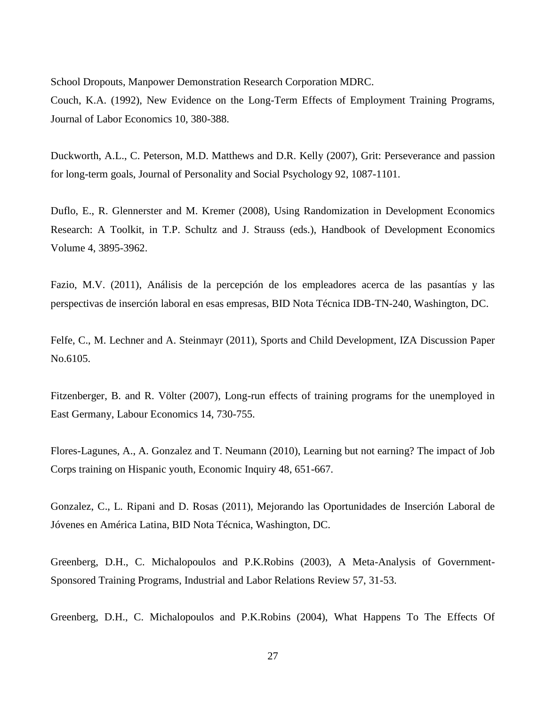School Dropouts, Manpower Demonstration Research Corporation MDRC.

Couch, K.A. (1992), New Evidence on the Long-Term Effects of Employment Training Programs, Journal of Labor Economics 10, 380-388.

Duckworth, A.L., C. Peterson, M.D. Matthews and D.R. Kelly (2007), Grit: Perseverance and passion for long-term goals, Journal of Personality and Social Psychology 92, 1087-1101.

Duflo, E., R. Glennerster and M. Kremer (2008), Using Randomization in Development Economics Research: A Toolkit, in T.P. Schultz and J. Strauss (eds.), Handbook of Development Economics Volume 4, 3895-3962.

Fazio, M.V. (2011), Análisis de la percepción de los empleadores acerca de las pasantías y las perspectivas de inserción laboral en esas empresas, BID Nota Técnica IDB-TN-240, Washington, DC.

Felfe, C., M. Lechner and A. Steinmayr (2011), Sports and Child Development, IZA Discussion Paper No.6105.

Fitzenberger, B. and R. Völter (2007), Long-run effects of training programs for the unemployed in East Germany, Labour Economics 14, 730-755.

Flores-Lagunes, A., A. Gonzalez and T. Neumann (2010), Learning but not earning? The impact of Job Corps training on Hispanic youth, Economic Inquiry 48, 651-667.

Gonzalez, C., L. Ripani and D. Rosas (2011), Mejorando las Oportunidades de Inserción Laboral de Jóvenes en América Latina, BID Nota Técnica, Washington, DC.

Greenberg, D.H., C. Michalopoulos and P.K.Robins (2003), A Meta-Analysis of Government-Sponsored Training Programs, Industrial and Labor Relations Review 57, 31-53.

Greenberg, D.H., C. Michalopoulos and P.K.Robins (2004), What Happens To The Effects Of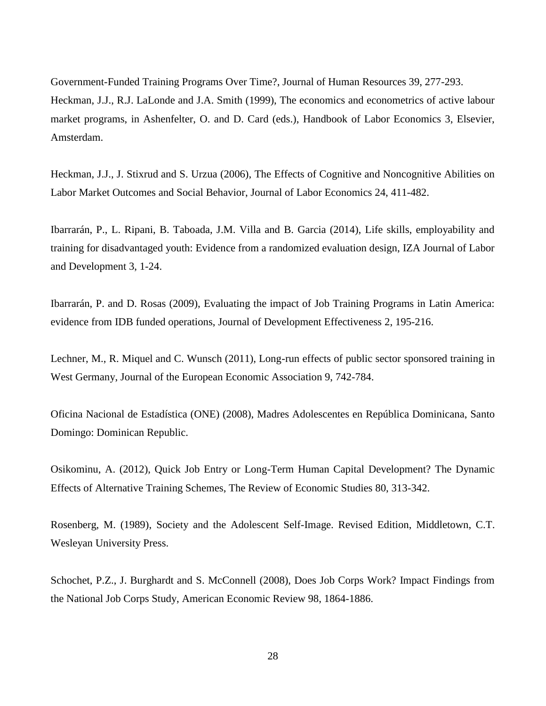Government-Funded Training Programs Over Time?, Journal of Human Resources 39, 277-293. Heckman, J.J., R.J. LaLonde and J.A. Smith (1999), The economics and econometrics of active labour market programs, in Ashenfelter, O. and D. Card (eds.), Handbook of Labor Economics 3, Elsevier, Amsterdam.

Heckman, J.J., J. Stixrud and S. Urzua (2006), The Effects of Cognitive and Noncognitive Abilities on Labor Market Outcomes and Social Behavior, Journal of Labor Economics 24, 411-482.

Ibarrarán, P., L. Ripani, B. Taboada, J.M. Villa and B. Garcia (2014), Life skills, employability and training for disadvantaged youth: Evidence from a randomized evaluation design, IZA Journal of Labor and Development 3, 1-24.

Ibarrarán, P. and D. Rosas (2009), Evaluating the impact of Job Training Programs in Latin America: evidence from IDB funded operations, Journal of Development Effectiveness 2, 195-216.

Lechner, M., R. Miquel and C. Wunsch (2011), Long-run effects of public sector sponsored training in West Germany, Journal of the European Economic Association 9, 742-784.

Oficina Nacional de Estadística (ONE) (2008), Madres Adolescentes en República Dominicana, Santo Domingo: Dominican Republic.

Osikominu, A. (2012), Quick Job Entry or Long-Term Human Capital Development? The Dynamic Effects of Alternative Training Schemes, The Review of Economic Studies 80, 313-342.

Rosenberg, M. (1989), Society and the Adolescent Self-Image. Revised Edition, Middletown, C.T. Wesleyan University Press.

Schochet, P.Z., J. Burghardt and S. McConnell (2008), Does Job Corps Work? Impact Findings from the National Job Corps Study, American Economic Review 98, 1864-1886.